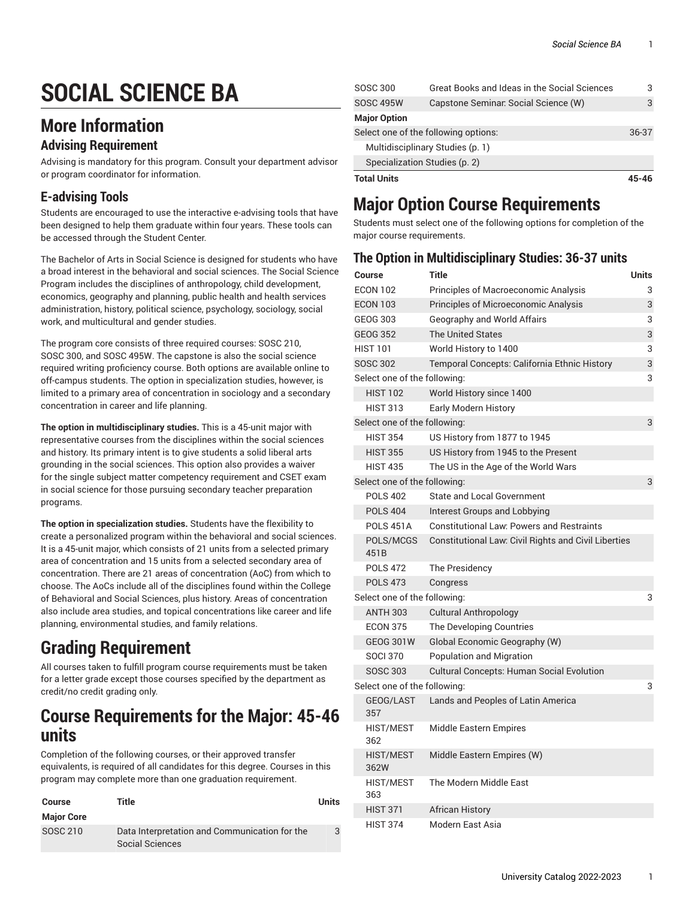# **SOCIAL SCIENCE BA**

# **More Information**

### **Advising Requirement**

Advising is mandatory for this program. Consult your department advisor or program coordinator for information.

### **E-advising Tools**

Students are encouraged to use the interactive e-advising tools that have been designed to help them graduate within four years. These tools can be accessed through the Student Center.

The Bachelor of Arts in Social Science is designed for students who have a broad interest in the behavioral and social sciences. The Social Science Program includes the disciplines of anthropology, child development, economics, geography and planning, public health and health services administration, history, political science, psychology, sociology, social work, and multicultural and gender studies.

The program core consists of three required courses: SOSC 210, SOSC 300, and SOSC 495W. The capstone is also the social science required writing proficiency course. Both options are available online to off-campus students. The option in specialization studies, however, is limited to a primary area of concentration in sociology and a secondary concentration in career and life planning.

**The option in multidisciplinary studies.** This is a 45-unit major with representative courses from the disciplines within the social sciences and history. Its primary intent is to give students a solid liberal arts grounding in the social sciences. This option also provides a waiver for the single subject matter competency requirement and CSET exam in social science for those pursuing secondary teacher preparation programs.

**The option in specialization studies.** Students have the flexibility to create a personalized program within the behavioral and social sciences. It is a 45-unit major, which consists of 21 units from a selected primary area of concentration and 15 units from a selected secondary area of concentration. There are 21 areas of concentration (AoC) from which to choose. The AoCs include all of the disciplines found within the College of Behavioral and Social Sciences, plus history. Areas of concentration also include area studies, and topical concentrations like career and life planning, environmental studies, and family relations.

# **Grading Requirement**

All courses taken to fulfill program course requirements must be taken for a letter grade except those courses specified by the department as credit/no credit grading only.

## **Course Requirements for the Major: 45-46 units**

Completion of the following courses, or their approved transfer equivalents, is required of all candidates for this degree. Courses in this program may complete more than one graduation requirement.

| Course            | Title                                                            | Units         |
|-------------------|------------------------------------------------------------------|---------------|
| <b>Major Core</b> |                                                                  |               |
| SOSC 210          | Data Interpretation and Communication for the<br>Social Sciences | $\mathcal{L}$ |

| <b>Total Units</b>  |                                              |       |
|---------------------|----------------------------------------------|-------|
|                     | Specialization Studies (p. 2)                |       |
|                     | Multidisciplinary Studies (p. 1)             |       |
|                     | Select one of the following options:         | 36-37 |
| <b>Major Option</b> |                                              |       |
| <b>SOSC 495W</b>    | Capstone Seminar: Social Science (W)         | 3     |
| SOSC 300            | Great Books and Ideas in the Social Sciences | 3     |

# **Major Option Course Requirements**

Students must select one of the following options for completion of the major course requirements.

### <span id="page-0-0"></span>**The Option in Multidisciplinary Studies: 36-37 units**

| Course                       | <b>Title</b>                                                | <b>Units</b> |
|------------------------------|-------------------------------------------------------------|--------------|
| <b>ECON 102</b>              | Principles of Macroeconomic Analysis                        | 3            |
| <b>ECON 103</b>              | Principles of Microeconomic Analysis                        | 3            |
| <b>GEOG 303</b>              | Geography and World Affairs                                 | 3            |
| <b>GEOG 352</b>              | <b>The United States</b>                                    | 3            |
| <b>HIST 101</b>              | World History to 1400                                       | 3            |
| <b>SOSC 302</b>              | Temporal Concepts: California Ethnic History                | 3            |
| Select one of the following: |                                                             | 3            |
| <b>HIST 102</b>              | World History since 1400                                    |              |
| <b>HIST 313</b>              | <b>Early Modern History</b>                                 |              |
| Select one of the following: |                                                             | 3            |
| <b>HIST 354</b>              | US History from 1877 to 1945                                |              |
| <b>HIST 355</b>              | US History from 1945 to the Present                         |              |
| <b>HIST 435</b>              | The US in the Age of the World Wars                         |              |
| Select one of the following: |                                                             | 3            |
| <b>POLS 402</b>              | <b>State and Local Government</b>                           |              |
| <b>POLS 404</b>              | <b>Interest Groups and Lobbying</b>                         |              |
| <b>POLS 451A</b>             | <b>Constitutional Law: Powers and Restraints</b>            |              |
| POLS/MCGS<br>451B            | <b>Constitutional Law: Civil Rights and Civil Liberties</b> |              |
| <b>POLS 472</b>              | The Presidency                                              |              |
| <b>POLS 473</b>              | Congress                                                    |              |
| Select one of the following: |                                                             | 3            |
| <b>ANTH 303</b>              | <b>Cultural Anthropology</b>                                |              |
| <b>ECON 375</b>              | The Developing Countries                                    |              |
| <b>GEOG 301W</b>             | Global Economic Geography (W)                               |              |
| <b>SOCI 370</b>              | Population and Migration                                    |              |
| <b>SOSC 303</b>              | <b>Cultural Concepts: Human Social Evolution</b>            |              |
| Select one of the following: |                                                             | 3            |
| GEOG/LAST<br>357             | Lands and Peoples of Latin America                          |              |
| HIST/MEST<br>362             | Middle Eastern Empires                                      |              |
| <b>HIST/MEST</b><br>362W     | Middle Eastern Empires (W)                                  |              |
| HIST/MEST<br>363             | The Modern Middle East                                      |              |
| <b>HIST 371</b>              | <b>African History</b>                                      |              |
| <b>HIST 374</b>              | Modern East Asia                                            |              |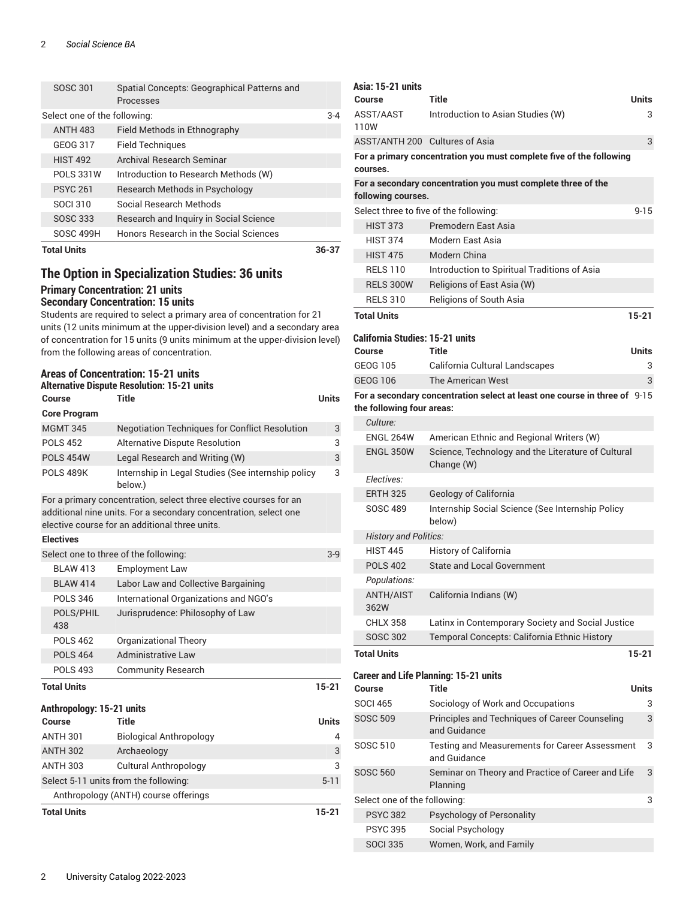#### 2 *Social Science BA*

| <b>Total Units</b>           |                                                          | 36-37 |
|------------------------------|----------------------------------------------------------|-------|
| <b>SOSC 499H</b>             | Honors Research in the Social Sciences                   |       |
| SOSC 333                     | Research and Inquiry in Social Science                   |       |
| SOCI 310                     | Social Research Methods                                  |       |
| <b>PSYC 261</b>              | Research Methods in Psychology                           |       |
| <b>POLS 331W</b>             | Introduction to Research Methods (W)                     |       |
| <b>HIST 492</b>              | Archival Research Seminar                                |       |
| GEOG 317                     | <b>Field Techniques</b>                                  |       |
| <b>ANTH 483</b>              | Field Methods in Ethnography                             |       |
| Select one of the following: |                                                          | $3-4$ |
| SOSC 301                     | Spatial Concepts: Geographical Patterns and<br>Processes |       |
|                              |                                                          |       |

### <span id="page-1-0"></span>**The Option in Specialization Studies: 36 units Primary Concentration: 21 units Secondary Concentration: 15 units**

Students are required to select a primary area of concentration for 21 units (12 units minimum at the upper-division level) and a secondary area of concentration for 15 units (9 units minimum at the upper-division level) from the following areas of concentration.

#### **Areas of Concentration: 15-21 units Alternative Dispute Resolution: 15-21 units**

| Course                                | <b>Title</b>                                                                                                                                                                            | <b>Units</b> |
|---------------------------------------|-----------------------------------------------------------------------------------------------------------------------------------------------------------------------------------------|--------------|
| <b>Core Program</b>                   |                                                                                                                                                                                         |              |
| <b>MGMT 345</b>                       | Negotiation Techniques for Conflict Resolution                                                                                                                                          | 3            |
| <b>POLS 452</b>                       | <b>Alternative Dispute Resolution</b>                                                                                                                                                   | 3            |
| <b>POLS 454W</b>                      | Legal Research and Writing (W)                                                                                                                                                          | 3            |
| <b>POLS 489K</b>                      | Internship in Legal Studies (See internship policy<br>below.)                                                                                                                           | 3            |
|                                       | For a primary concentration, select three elective courses for an<br>additional nine units. For a secondary concentration, select one<br>elective course for an additional three units. |              |
| <b>Electives</b>                      |                                                                                                                                                                                         |              |
| Select one to three of the following: |                                                                                                                                                                                         | $3-9$        |
| <b>BI AW 413</b>                      | <b>Employment Law</b>                                                                                                                                                                   |              |
| <b>BLAW 414</b>                       | Labor Law and Collective Bargaining                                                                                                                                                     |              |
| <b>POLS 346</b>                       | International Organizations and NGO's                                                                                                                                                   |              |
| POLS/PHIL<br>438                      | Jurisprudence: Philosophy of Law                                                                                                                                                        |              |
| <b>POLS 462</b>                       | Organizational Theory                                                                                                                                                                   |              |
| <b>POLS 464</b>                       | <b>Administrative Law</b>                                                                                                                                                               |              |
| <b>POLS 493</b>                       | <b>Community Research</b>                                                                                                                                                               |              |
| <b>Total Units</b>                    |                                                                                                                                                                                         | $15 - 21$    |
| Anthropology: 15-21 units             |                                                                                                                                                                                         |              |
| Course                                | Title                                                                                                                                                                                   | <b>Units</b> |
| <b>ANTH 301</b>                       | <b>Biological Anthropology</b>                                                                                                                                                          | 4            |
| <b>ANTH 302</b>                       | Archaeology                                                                                                                                                                             | 3            |
| <b>ANTH 303</b>                       | <b>Cultural Anthropology</b>                                                                                                                                                            | 3            |
|                                       | Select 5-11 units from the following:                                                                                                                                                   | $5 - 11$     |
|                                       | Anthropology (ANTH) course offerings                                                                                                                                                    |              |
| <b>Total Units</b>                    |                                                                                                                                                                                         | $15 - 21$    |

| Asia: 15-21 units                      |                                                                           |           |
|----------------------------------------|---------------------------------------------------------------------------|-----------|
| <b>Course</b>                          | Title                                                                     | Units     |
| ASST/AAST<br>110W                      | Introduction to Asian Studies (W)                                         | 3         |
| ASST/ANTH 200 Cultures of Asia         |                                                                           | 3         |
| courses.                               | For a primary concentration you must complete five of the following       |           |
| following courses.                     | For a secondary concentration you must complete three of the              |           |
|                                        | Select three to five of the following:                                    | $9 - 15$  |
| <b>HIST 373</b>                        | Premodern East Asia                                                       |           |
| <b>HIST 374</b>                        | Modern East Asia                                                          |           |
| <b>HIST 475</b>                        | Modern China                                                              |           |
| <b>RELS 110</b>                        | Introduction to Spiritual Traditions of Asia                              |           |
| <b>RELS 300W</b>                       | Religions of East Asia (W)                                                |           |
| <b>RELS 310</b>                        | Religions of South Asia                                                   |           |
| <b>Total Units</b>                     |                                                                           | $15 - 21$ |
|                                        |                                                                           |           |
| <b>California Studies: 15-21 units</b> |                                                                           |           |
| Course                                 | Title                                                                     | Units     |
| GEOG 105                               | California Cultural Landscapes                                            | 3         |
| <b>GEOG 106</b>                        | The American West                                                         | 3         |
|                                        | For a secondary concentration select at least one course in three of 9-15 |           |
| the following four areas:              |                                                                           |           |
| Culture:                               |                                                                           |           |
| <b>ENGL 264W</b>                       | American Ethnic and Regional Writers (W)                                  |           |
| <b>ENGL 350W</b>                       | Science, Technology and the Literature of Cultural<br>Change (W)          |           |
| Electives:                             |                                                                           |           |
| <b>ERTH 325</b>                        | Geology of California                                                     |           |
| <b>SOSC 489</b>                        | Internship Social Science (See Internship Policy<br>below)                |           |
| <b>History and Politics:</b>           |                                                                           |           |
| <b>HIST 445</b>                        | History of California                                                     |           |
| <b>POLS 402</b>                        | <b>State and Local Government</b>                                         |           |
| Populations:                           |                                                                           |           |
| <b>ANTH/AIST</b><br>362W               | California Indians (W)                                                    |           |
| <b>CHLX 358</b>                        | Latinx in Contemporary Society and Social Justice                         |           |
| <b>SOSC 302</b>                        | Temporal Concepts: California Ethnic History                              |           |
| <b>Total Units</b>                     |                                                                           | 15-21     |
|                                        | <b>Career and Life Planning: 15-21 units</b>                              |           |
| Course                                 | <b>Title</b>                                                              | Units     |
| SOCI 465                               | Sociology of Work and Occupations                                         | 3         |
| <b>SOSC 509</b>                        | Principles and Techniques of Career Counseling<br>and Guidance            | 3         |
| <b>SOSC 510</b>                        | <b>Testing and Measurements for Career Assessment</b><br>and Guidance     | 3         |
| <b>SOSC 560</b>                        | Seminar on Theory and Practice of Career and Life<br>Planning             | 3         |
| Select one of the following:           |                                                                           | 3         |
| <b>PSYC 382</b>                        | Psychology of Personality                                                 |           |
| <b>PSYC 395</b>                        | Social Psychology                                                         |           |
| <b>SOCI 335</b>                        | Women, Work, and Family                                                   |           |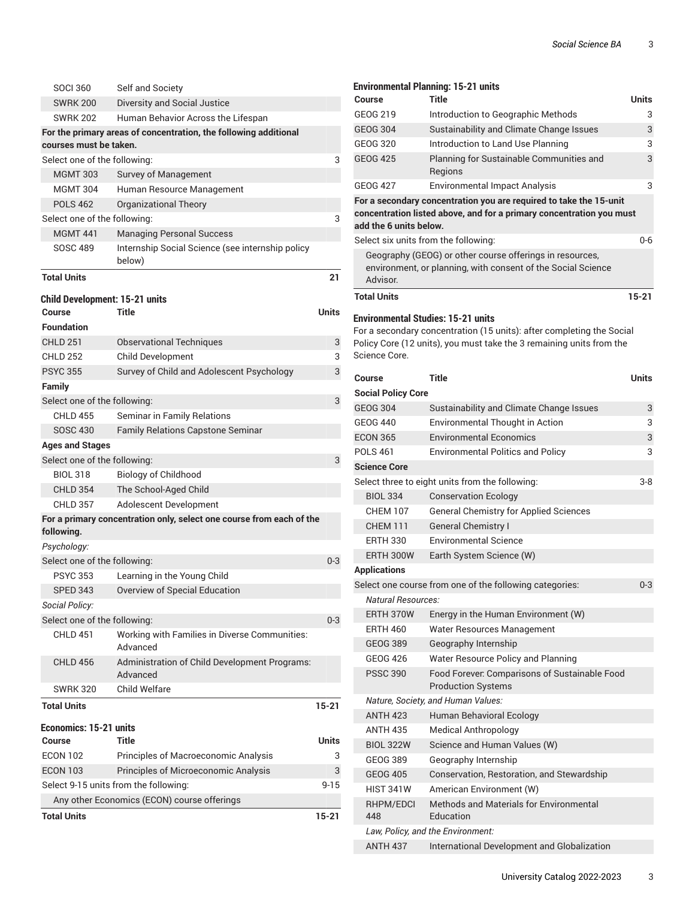| <b>SOCI 360</b>                       | Self and Society                                                     |           |
|---------------------------------------|----------------------------------------------------------------------|-----------|
| <b>SWRK 200</b>                       | <b>Diversity and Social Justice</b>                                  |           |
| <b>SWRK 202</b>                       | Human Behavior Across the Lifespan                                   |           |
|                                       | For the primary areas of concentration, the following additional     |           |
| courses must be taken.                |                                                                      |           |
| Select one of the following:          |                                                                      | 3         |
| <b>MGMT 303</b>                       | Survey of Management                                                 |           |
| <b>MGMT 304</b>                       | Human Resource Management                                            |           |
| <b>POLS 462</b>                       | <b>Organizational Theory</b>                                         |           |
| Select one of the following:          |                                                                      | 3         |
| <b>MGMT 441</b>                       | <b>Managing Personal Success</b>                                     |           |
| <b>SOSC 489</b>                       | Internship Social Science (see internship policy<br>below)           |           |
| <b>Total Units</b>                    |                                                                      | 21        |
| <b>Child Development: 15-21 units</b> |                                                                      |           |
| Course                                | Title                                                                | Units     |
| <b>Foundation</b>                     |                                                                      |           |
| <b>CHLD 251</b>                       | <b>Observational Techniques</b>                                      | 3         |
| <b>CHLD 252</b>                       | <b>Child Development</b>                                             | 3         |
| <b>PSYC 355</b>                       | Survey of Child and Adolescent Psychology                            | 3         |
| <b>Family</b>                         |                                                                      |           |
| Select one of the following:          |                                                                      | 3         |
| <b>CHLD 455</b>                       | Seminar in Family Relations                                          |           |
| <b>SOSC 430</b>                       | <b>Family Relations Capstone Seminar</b>                             |           |
| <b>Ages and Stages</b>                |                                                                      |           |
| Select one of the following:          |                                                                      | 3         |
| <b>BIOL 318</b>                       | <b>Biology of Childhood</b>                                          |           |
| <b>CHLD 354</b>                       | The School-Aged Child                                                |           |
| <b>CHLD 357</b>                       | Adolescent Development                                               |           |
| following.                            | For a primary concentration only, select one course from each of the |           |
| Psychology:                           |                                                                      |           |
| Select one of the following:          |                                                                      | $0 - 3$   |
| <b>PSYC 353</b>                       | Learning in the Young Child                                          |           |
|                                       | SPED 343 Overview of Special Education                               |           |
| Social Policy:                        |                                                                      |           |
| Select one of the following:          |                                                                      | $0 - 3$   |
| <b>CHLD 451</b>                       | Working with Families in Diverse Communities:<br>Advanced            |           |
| <b>CHLD 456</b>                       | Administration of Child Development Programs:<br>Advanced            |           |
| <b>SWRK 320</b>                       | Child Welfare                                                        |           |
| <b>Total Units</b>                    |                                                                      | $15 - 21$ |
| <b>Economics: 15-21 units</b>         |                                                                      |           |
| <b>Course</b>                         | Title                                                                | Units     |
| <b>ECON 102</b>                       | Principles of Macroeconomic Analysis                                 | 3         |
| <b>ECON 103</b>                       | Principles of Microeconomic Analysis                                 | 3         |
|                                       | Select 9-15 units from the following:                                | $9 - 15$  |
|                                       | Any other Economics (ECON) course offerings                          |           |
| <b>Total Units</b>                    |                                                                      | 15-21     |

| Course                               | <b>Environmental Planning: 15-21 units</b><br>Title                        | Units   |
|--------------------------------------|----------------------------------------------------------------------------|---------|
| GEOG 219                             | Introduction to Geographic Methods                                         | 3       |
| <b>GEOG 304</b>                      | Sustainability and Climate Change Issues                                   | 3       |
| <b>GEOG 320</b>                      | Introduction to Land Use Planning                                          | 3       |
| <b>GEOG 425</b>                      | Planning for Sustainable Communities and<br>Regions                        | 3       |
| GEOG 427                             | <b>Environmental Impact Analysis</b>                                       | 3       |
|                                      | For a secondary concentration you are required to take the 15-unit         |         |
| add the 6 units below.               | concentration listed above, and for a primary concentration you must       |         |
| Select six units from the following: |                                                                            | 0-6     |
|                                      | Geography (GEOG) or other course offerings in resources,                   |         |
| Advisor.                             | environment, or planning, with consent of the Social Science               |         |
| <b>Total Units</b>                   |                                                                            | 15-21   |
| Environmental Studies: 15-21 units   |                                                                            |         |
|                                      | For a secondary concentration (15 units): after completing the Social      |         |
| Science Core.                        | Policy Core (12 units), you must take the 3 remaining units from the       |         |
| <b>Course</b>                        | <b>Title</b>                                                               | Units   |
| <b>Social Policy Core</b>            |                                                                            |         |
| <b>GEOG 304</b>                      | Sustainability and Climate Change Issues                                   | 3       |
| <b>GEOG 440</b>                      | Environmental Thought in Action                                            | 3       |
| <b>ECON 365</b>                      | <b>Environmental Economics</b>                                             | 3       |
| <b>POLS 461</b>                      | <b>Environmental Politics and Policy</b>                                   | 3       |
| <b>Science Core</b>                  |                                                                            |         |
|                                      | Select three to eight units from the following:                            | $3 - 8$ |
| <b>BIOL 334</b>                      | <b>Conservation Ecology</b>                                                |         |
| <b>CHEM 107</b>                      | <b>General Chemistry for Applied Sciences</b>                              |         |
| <b>CHEM 111</b>                      | <b>General Chemistry I</b>                                                 |         |
| <b>ERTH 330</b>                      | <b>Environmental Science</b>                                               |         |
| ERTH 300W                            | Earth System Science (W)                                                   |         |
| <b>Applications</b>                  |                                                                            |         |
|                                      | Select one course from one of the following categories:                    | $0 - 3$ |
| Natural Resources:                   |                                                                            |         |
| ERTH 370W                            | Energy in the Human Environment (W)                                        |         |
| <b>ERTH 460</b>                      | Water Resources Management                                                 |         |
| <b>GEOG 389</b>                      | Geography Internship                                                       |         |
| <b>GEOG 426</b>                      | Water Resource Policy and Planning                                         |         |
| <b>PSSC 390</b>                      | Food Forever. Comparisons of Sustainable Food<br><b>Production Systems</b> |         |
|                                      | Nature, Society, and Human Values:                                         |         |
| <b>ANTH 423</b>                      | Human Behavioral Ecology                                                   |         |
| <b>ANTH 435</b>                      | Medical Anthropology                                                       |         |
| <b>BIOL 322W</b>                     | Science and Human Values (W)                                               |         |
| GEOG 389                             | Geography Internship                                                       |         |
| <b>GEOG 405</b>                      | Conservation, Restoration, and Stewardship                                 |         |
| <b>HIST 341W</b>                     | American Environment (W)                                                   |         |
| RHPM/EDCI<br>448                     | <b>Methods and Materials for Environmental</b><br>Education                |         |
|                                      | Law, Policy, and the Environment:                                          |         |
| <b>ANTH 437</b>                      | International Development and Globalization                                |         |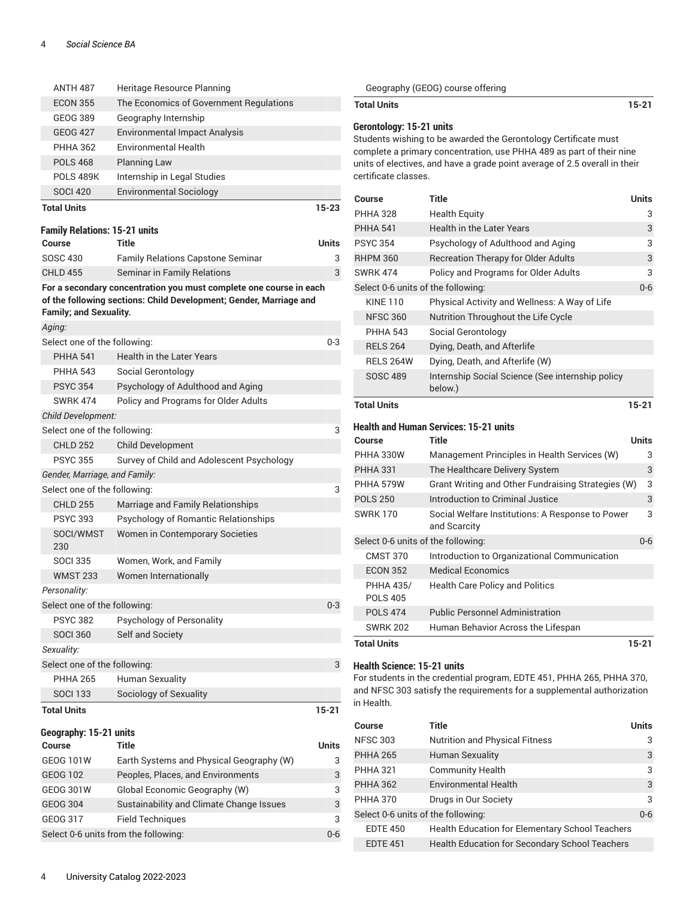| <b>ANTH 487</b>                      | Heritage Resource Planning                                         |           |
|--------------------------------------|--------------------------------------------------------------------|-----------|
| <b>ECON 355</b>                      | The Economics of Government Regulations                            |           |
| GEOG 389                             | Geography Internship                                               |           |
| <b>GEOG 427</b>                      | <b>Environmental Impact Analysis</b>                               |           |
| <b>PHHA 362</b>                      | <b>Environmental Health</b>                                        |           |
| <b>POLS 468</b>                      | <b>Planning Law</b>                                                |           |
| <b>POLS 489K</b>                     | Internship in Legal Studies                                        |           |
| <b>SOCI 420</b>                      | <b>Environmental Sociology</b>                                     |           |
| <b>Total Units</b>                   |                                                                    | 15-23     |
| <b>Family Relations: 15-21 units</b> |                                                                    |           |
| Course                               | Title                                                              | Units     |
| <b>SOSC 430</b>                      | <b>Family Relations Capstone Seminar</b>                           | 3         |
| <b>CHLD 455</b>                      | Seminar in Family Relations                                        | 3         |
|                                      | For a secondary concentration you must complete one course in each |           |
|                                      | of the following sections: Child Development; Gender, Marriage and |           |
| <b>Family; and Sexuality.</b>        |                                                                    |           |
| Aging:                               |                                                                    |           |
| Select one of the following:         |                                                                    | 0-3       |
| <b>PHHA 541</b>                      | <b>Health in the Later Years</b>                                   |           |
| <b>PHHA 543</b>                      | Social Gerontology                                                 |           |
| <b>PSYC 354</b>                      | Psychology of Adulthood and Aging                                  |           |
| <b>SWRK 474</b>                      | Policy and Programs for Older Adults                               |           |
| <b>Child Development:</b>            |                                                                    |           |
| Select one of the following:         |                                                                    | 3         |
| <b>CHLD 252</b>                      | <b>Child Development</b>                                           |           |
| <b>PSYC 355</b>                      | Survey of Child and Adolescent Psychology                          |           |
| Gender, Marriage, and Family:        |                                                                    |           |
| Select one of the following:         |                                                                    | 3         |
| <b>CHLD 255</b>                      | Marriage and Family Relationships                                  |           |
| <b>PSYC 393</b>                      | Psychology of Romantic Relationships                               |           |
| SOCI/WMST<br>230                     | Women in Contemporary Societies                                    |           |
| <b>SOCI 335</b>                      | Women, Work, and Family                                            |           |
| <b>WMST 233</b>                      | Women Internationally                                              |           |
| Personality:                         |                                                                    |           |
| Select one of the following:         |                                                                    | $0 - 3$   |
| <b>PSYC 382</b>                      | Psychology of Personality                                          |           |
| <b>SOCI 360</b>                      | Self and Society                                                   |           |
| Sexuality:                           |                                                                    |           |
| Select one of the following:         |                                                                    | 3         |
| <b>PHHA 265</b>                      | Human Sexuality                                                    |           |
| <b>SOCI 133</b>                      | Sociology of Sexuality                                             |           |
| <b>Total Units</b>                   |                                                                    | $15 - 21$ |
| Geography: 15-21 units               |                                                                    |           |

#### **Geography: 15-21 units**

| <b>Course</b>                        | Title                                    | Units   |
|--------------------------------------|------------------------------------------|---------|
| <b>GEOG 101W</b>                     | Earth Systems and Physical Geography (W) | 3       |
| <b>GEOG 102</b>                      | Peoples, Places, and Environments        | 3       |
| <b>GEOG 301W</b>                     | Global Economic Geography (W)            | 3       |
| <b>GEOG 304</b>                      | Sustainability and Climate Change Issues | 3       |
| <b>GEOG 317</b>                      | <b>Field Techniques</b>                  | 3       |
| Select 0-6 units from the following: |                                          | $0 - 6$ |

**Total Units 15-21 Gerontology: 15-21 units** Students wishing to be awarded the Gerontology Certificate must complete a primary concentration, use PHHA 489 as part of their nine units of electives, and have a grade point average of 2.5 overall in their certificate classes. **Course Title Units** PHHA 328 Health Equity 3 PHHA 541 Health in the Later Years 3 PSYC 354 Psychology of Adulthood and Aging 3 RHPM 360 Recreation Therapy for Older Adults 3 SWRK 474 Policy and Programs for Older Adults 3 Select 0-6 units of the following: 0-6 KINE 110 Physical Activity and Wellness: A Way of Life NFSC 360 Nutrition Throughout the Life Cycle PHHA 543 Social Gerontology RELS 264 Dying, Death, and Afterlife RELS 264W Dying, Death, and Afterlife (W) SOSC 489 Internship Social Science (See internship policy below.) **Total Units 15-21 Health and Human Services: 15-21 units Course Title Units** PHHA 330W Management Principles in Health Services (W) 3 PHHA 331 The Healthcare Delivery System 3 PHHA 579W Grant Writing and Other Fundraising Strategies (W) 3 POLS 250 Introduction to Criminal Justice 3 SWRK 170 Social Welfare Institutions: A Response to Power and Scarcity 3 Select 0-6 units of the following: 0-6 CMST 370 Introduction to Organizational Communication ECON 352 Medical Economics PHHA 435/ POLS 405 Health Care Policy and Politics POLS 474 Public Personnel Administration SWRK 202 Human Behavior Across the Lifespan **Total Units 15-21**

Geography (GEOG) course offering

#### **Health Science: 15-21 units**

For students in the credential program, EDTE 451, PHHA 265, PHHA 370, and NFSC 303 satisfy the requirements for a supplemental authorization in Health.

| Course                             | Title                                                 | Units |
|------------------------------------|-------------------------------------------------------|-------|
| <b>NFSC 303</b>                    | <b>Nutrition and Physical Fitness</b>                 | 3     |
| <b>PHHA 265</b>                    | <b>Human Sexuality</b>                                | 3     |
| PHHA 321                           | <b>Community Health</b>                               | 3     |
| <b>PHHA 362</b>                    | <b>Environmental Health</b>                           | 3     |
| <b>PHHA 370</b>                    | Drugs in Our Society                                  | 3     |
| Select 0-6 units of the following: |                                                       | $0-6$ |
| <b>EDTE 450</b>                    | Health Education for Elementary School Teachers       |       |
| <b>EDTE 451</b>                    | <b>Health Education for Secondary School Teachers</b> |       |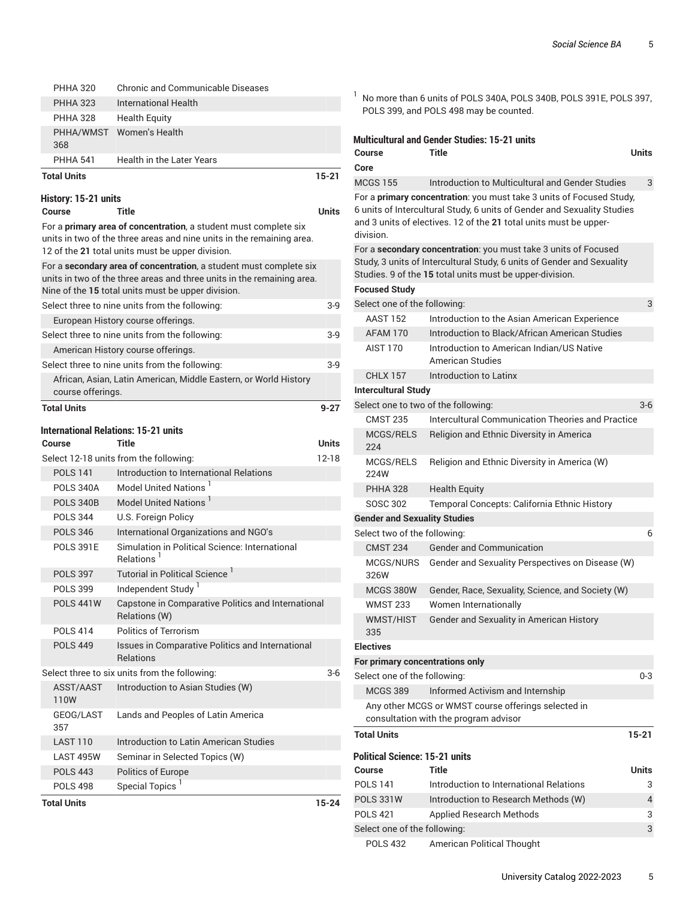| <b>POLS 344</b><br><b>POLS 346</b><br><b>POLS 391E</b><br><b>POLS 397</b><br>POLS 399<br><b>POLS 441W</b><br><b>POLS 414</b><br><b>POLS 449</b><br>ASST/AAST<br>110W<br>GEOG/LAST<br>357<br><b>LAST 110</b><br><b>LAST 495W</b><br><b>POLS 443</b><br><b>POLS 498</b> | U.S. Foreign Policy<br>International Organizations and NGO's<br>Simulation in Political Science: International<br>Relations <sup>1</sup><br>Tutorial in Political Science <sup>1</sup><br>Independent Study <sup>1</sup><br>Capstone in Comparative Politics and International<br>Relations (W)<br>Politics of Terrorism<br>Issues in Comparative Politics and International<br><b>Relations</b><br>Select three to six units from the following:<br>Introduction to Asian Studies (W)<br>Lands and Peoples of Latin America<br>Introduction to Latin American Studies<br>Seminar in Selected Topics (W)<br><b>Politics of Europe</b><br>Special Topics <sup>1</sup> | $3-6$     |
|-----------------------------------------------------------------------------------------------------------------------------------------------------------------------------------------------------------------------------------------------------------------------|----------------------------------------------------------------------------------------------------------------------------------------------------------------------------------------------------------------------------------------------------------------------------------------------------------------------------------------------------------------------------------------------------------------------------------------------------------------------------------------------------------------------------------------------------------------------------------------------------------------------------------------------------------------------|-----------|
|                                                                                                                                                                                                                                                                       |                                                                                                                                                                                                                                                                                                                                                                                                                                                                                                                                                                                                                                                                      |           |
|                                                                                                                                                                                                                                                                       |                                                                                                                                                                                                                                                                                                                                                                                                                                                                                                                                                                                                                                                                      |           |
|                                                                                                                                                                                                                                                                       |                                                                                                                                                                                                                                                                                                                                                                                                                                                                                                                                                                                                                                                                      |           |
|                                                                                                                                                                                                                                                                       |                                                                                                                                                                                                                                                                                                                                                                                                                                                                                                                                                                                                                                                                      |           |
|                                                                                                                                                                                                                                                                       |                                                                                                                                                                                                                                                                                                                                                                                                                                                                                                                                                                                                                                                                      |           |
|                                                                                                                                                                                                                                                                       |                                                                                                                                                                                                                                                                                                                                                                                                                                                                                                                                                                                                                                                                      |           |
|                                                                                                                                                                                                                                                                       |                                                                                                                                                                                                                                                                                                                                                                                                                                                                                                                                                                                                                                                                      |           |
|                                                                                                                                                                                                                                                                       |                                                                                                                                                                                                                                                                                                                                                                                                                                                                                                                                                                                                                                                                      |           |
|                                                                                                                                                                                                                                                                       |                                                                                                                                                                                                                                                                                                                                                                                                                                                                                                                                                                                                                                                                      |           |
|                                                                                                                                                                                                                                                                       |                                                                                                                                                                                                                                                                                                                                                                                                                                                                                                                                                                                                                                                                      |           |
|                                                                                                                                                                                                                                                                       |                                                                                                                                                                                                                                                                                                                                                                                                                                                                                                                                                                                                                                                                      |           |
|                                                                                                                                                                                                                                                                       |                                                                                                                                                                                                                                                                                                                                                                                                                                                                                                                                                                                                                                                                      |           |
|                                                                                                                                                                                                                                                                       |                                                                                                                                                                                                                                                                                                                                                                                                                                                                                                                                                                                                                                                                      |           |
|                                                                                                                                                                                                                                                                       |                                                                                                                                                                                                                                                                                                                                                                                                                                                                                                                                                                                                                                                                      |           |
|                                                                                                                                                                                                                                                                       |                                                                                                                                                                                                                                                                                                                                                                                                                                                                                                                                                                                                                                                                      |           |
|                                                                                                                                                                                                                                                                       |                                                                                                                                                                                                                                                                                                                                                                                                                                                                                                                                                                                                                                                                      |           |
|                                                                                                                                                                                                                                                                       |                                                                                                                                                                                                                                                                                                                                                                                                                                                                                                                                                                                                                                                                      |           |
|                                                                                                                                                                                                                                                                       |                                                                                                                                                                                                                                                                                                                                                                                                                                                                                                                                                                                                                                                                      |           |
| <b>POLS 340B</b>                                                                                                                                                                                                                                                      | Model United Nations <sup>1</sup>                                                                                                                                                                                                                                                                                                                                                                                                                                                                                                                                                                                                                                    |           |
| <b>POLS 340A</b>                                                                                                                                                                                                                                                      | Model United Nations                                                                                                                                                                                                                                                                                                                                                                                                                                                                                                                                                                                                                                                 |           |
| <b>POLS 141</b>                                                                                                                                                                                                                                                       | Introduction to International Relations                                                                                                                                                                                                                                                                                                                                                                                                                                                                                                                                                                                                                              |           |
|                                                                                                                                                                                                                                                                       | Select 12-18 units from the following:                                                                                                                                                                                                                                                                                                                                                                                                                                                                                                                                                                                                                               | $12 - 18$ |
| Course                                                                                                                                                                                                                                                                | <b>International Relations: 15-21 units</b><br>Title                                                                                                                                                                                                                                                                                                                                                                                                                                                                                                                                                                                                                 | Units     |
| <b>Total Units</b>                                                                                                                                                                                                                                                    |                                                                                                                                                                                                                                                                                                                                                                                                                                                                                                                                                                                                                                                                      | $9 - 27$  |
| course offerings.                                                                                                                                                                                                                                                     |                                                                                                                                                                                                                                                                                                                                                                                                                                                                                                                                                                                                                                                                      |           |
|                                                                                                                                                                                                                                                                       | African, Asian, Latin American, Middle Eastern, or World History                                                                                                                                                                                                                                                                                                                                                                                                                                                                                                                                                                                                     |           |
|                                                                                                                                                                                                                                                                       | Select three to nine units from the following:                                                                                                                                                                                                                                                                                                                                                                                                                                                                                                                                                                                                                       | $3-9$     |
|                                                                                                                                                                                                                                                                       | American History course offerings.                                                                                                                                                                                                                                                                                                                                                                                                                                                                                                                                                                                                                                   |           |
|                                                                                                                                                                                                                                                                       | Select three to nine units from the following:                                                                                                                                                                                                                                                                                                                                                                                                                                                                                                                                                                                                                       | 3-9       |
|                                                                                                                                                                                                                                                                       | European History course offerings.                                                                                                                                                                                                                                                                                                                                                                                                                                                                                                                                                                                                                                   |           |
|                                                                                                                                                                                                                                                                       | Select three to nine units from the following:                                                                                                                                                                                                                                                                                                                                                                                                                                                                                                                                                                                                                       | 3-9       |
|                                                                                                                                                                                                                                                                       | units in two of the three areas and three units in the remaining area.<br>Nine of the 15 total units must be upper division.                                                                                                                                                                                                                                                                                                                                                                                                                                                                                                                                         |           |
|                                                                                                                                                                                                                                                                       | For a secondary area of concentration, a student must complete six                                                                                                                                                                                                                                                                                                                                                                                                                                                                                                                                                                                                   |           |
|                                                                                                                                                                                                                                                                       | 12 of the 21 total units must be upper division.                                                                                                                                                                                                                                                                                                                                                                                                                                                                                                                                                                                                                     |           |
|                                                                                                                                                                                                                                                                       | units in two of the three areas and nine units in the remaining area.                                                                                                                                                                                                                                                                                                                                                                                                                                                                                                                                                                                                |           |
|                                                                                                                                                                                                                                                                       | For a primary area of concentration, a student must complete six                                                                                                                                                                                                                                                                                                                                                                                                                                                                                                                                                                                                     |           |
| History: 15-21 units<br>Course                                                                                                                                                                                                                                        | Title                                                                                                                                                                                                                                                                                                                                                                                                                                                                                                                                                                                                                                                                | Units     |
|                                                                                                                                                                                                                                                                       |                                                                                                                                                                                                                                                                                                                                                                                                                                                                                                                                                                                                                                                                      |           |
| <b>Total Units</b>                                                                                                                                                                                                                                                    |                                                                                                                                                                                                                                                                                                                                                                                                                                                                                                                                                                                                                                                                      | $15 - 21$ |
| <b>PHHA 541</b>                                                                                                                                                                                                                                                       | <b>Health in the Later Years</b>                                                                                                                                                                                                                                                                                                                                                                                                                                                                                                                                                                                                                                     |           |
|                                                                                                                                                                                                                                                                       |                                                                                                                                                                                                                                                                                                                                                                                                                                                                                                                                                                                                                                                                      |           |
| PHHA/WMST<br>368                                                                                                                                                                                                                                                      | Women's Health                                                                                                                                                                                                                                                                                                                                                                                                                                                                                                                                                                                                                                                       |           |
| <b>PHHA 328</b>                                                                                                                                                                                                                                                       | <b>Health Equity</b>                                                                                                                                                                                                                                                                                                                                                                                                                                                                                                                                                                                                                                                 |           |
| <b>PHHA 323</b>                                                                                                                                                                                                                                                       | International Health                                                                                                                                                                                                                                                                                                                                                                                                                                                                                                                                                                                                                                                 |           |
| <b>PHHA 320</b>                                                                                                                                                                                                                                                       | Chronic and Communicable Diseases                                                                                                                                                                                                                                                                                                                                                                                                                                                                                                                                                                                                                                    |           |

| No more than 6 units of POLS 340A, POLS 340B, POLS 391E, POLS 397, |
|--------------------------------------------------------------------|
| POLS 399, and POLS 498 may be counted.                             |

|                                                                                              | <b>Multicultural and Gender Studies: 15-21 units</b>                                                                                                                                                                 |       |  |  |  |  |
|----------------------------------------------------------------------------------------------|----------------------------------------------------------------------------------------------------------------------------------------------------------------------------------------------------------------------|-------|--|--|--|--|
| Course                                                                                       | Title                                                                                                                                                                                                                | Units |  |  |  |  |
| Core                                                                                         |                                                                                                                                                                                                                      |       |  |  |  |  |
| <b>MCGS 155</b>                                                                              | Introduction to Multicultural and Gender Studies                                                                                                                                                                     | 3     |  |  |  |  |
| division.                                                                                    | For a primary concentration: you must take 3 units of Focused Study,<br>6 units of Intercultural Study, 6 units of Gender and Sexuality Studies<br>and 3 units of electives. 12 of the 21 total units must be upper- |       |  |  |  |  |
|                                                                                              | For a secondary concentration: you must take 3 units of Focused<br>Study, 3 units of Intercultural Study, 6 units of Gender and Sexuality<br>Studies. 9 of the 15 total units must be upper-division.                |       |  |  |  |  |
| <b>Focused Study</b>                                                                         |                                                                                                                                                                                                                      |       |  |  |  |  |
| Select one of the following:                                                                 |                                                                                                                                                                                                                      | 3     |  |  |  |  |
| <b>AAST 152</b>                                                                              | Introduction to the Asian American Experience                                                                                                                                                                        |       |  |  |  |  |
| AFAM 170                                                                                     | Introduction to Black/African American Studies                                                                                                                                                                       |       |  |  |  |  |
| <b>AIST 170</b>                                                                              | Introduction to American Indian/US Native<br>American Studies                                                                                                                                                        |       |  |  |  |  |
| <b>CHLX 157</b>                                                                              | Introduction to Latinx                                                                                                                                                                                               |       |  |  |  |  |
| <b>Intercultural Study</b>                                                                   |                                                                                                                                                                                                                      |       |  |  |  |  |
|                                                                                              | Select one to two of the following:                                                                                                                                                                                  | $3-6$ |  |  |  |  |
| <b>CMST 235</b>                                                                              | <b>Intercultural Communication Theories and Practice</b>                                                                                                                                                             |       |  |  |  |  |
| MCGS/RELS<br>224                                                                             | Religion and Ethnic Diversity in America                                                                                                                                                                             |       |  |  |  |  |
| MCGS/RELS<br>224W                                                                            | Religion and Ethnic Diversity in America (W)                                                                                                                                                                         |       |  |  |  |  |
| <b>PHHA 328</b>                                                                              | <b>Health Equity</b>                                                                                                                                                                                                 |       |  |  |  |  |
| SOSC 302                                                                                     | Temporal Concepts: California Ethnic History                                                                                                                                                                         |       |  |  |  |  |
| <b>Gender and Sexuality Studies</b>                                                          |                                                                                                                                                                                                                      |       |  |  |  |  |
| Select two of the following:                                                                 |                                                                                                                                                                                                                      | 6     |  |  |  |  |
| <b>CMST 234</b>                                                                              | <b>Gender and Communication</b>                                                                                                                                                                                      |       |  |  |  |  |
| MCGS/NURS<br>326W                                                                            | Gender and Sexuality Perspectives on Disease (W)                                                                                                                                                                     |       |  |  |  |  |
| MCGS 380W                                                                                    | Gender, Race, Sexuality, Science, and Society (W)                                                                                                                                                                    |       |  |  |  |  |
| <b>WMST 233</b>                                                                              | Women Internationally                                                                                                                                                                                                |       |  |  |  |  |
| WMST/HIST<br>335                                                                             | Gender and Sexuality in American History                                                                                                                                                                             |       |  |  |  |  |
| <b>Electives</b>                                                                             |                                                                                                                                                                                                                      |       |  |  |  |  |
| For primary concentrations only                                                              |                                                                                                                                                                                                                      |       |  |  |  |  |
| Select one of the following:                                                                 |                                                                                                                                                                                                                      | 0-3   |  |  |  |  |
| <b>MCGS 389</b>                                                                              | Informed Activism and Internship                                                                                                                                                                                     |       |  |  |  |  |
| Any other MCGS or WMST course offerings selected in<br>consultation with the program advisor |                                                                                                                                                                                                                      |       |  |  |  |  |
| <b>Total Units</b>                                                                           |                                                                                                                                                                                                                      | 15-21 |  |  |  |  |
| Political Science: 15-21 units                                                               |                                                                                                                                                                                                                      |       |  |  |  |  |
| Course                                                                                       | Title                                                                                                                                                                                                                | Units |  |  |  |  |
| <b>POLS 141</b>                                                                              | Introduction to International Relations                                                                                                                                                                              | 3     |  |  |  |  |
| <b>POLS 331W</b>                                                                             | Introduction to Research Methods (W)                                                                                                                                                                                 | 4     |  |  |  |  |
| <b>POLS 421</b>                                                                              | <b>Applied Research Methods</b>                                                                                                                                                                                      | 3     |  |  |  |  |
| Select one of the following:                                                                 |                                                                                                                                                                                                                      | 3     |  |  |  |  |

POLS 432 American Political Thought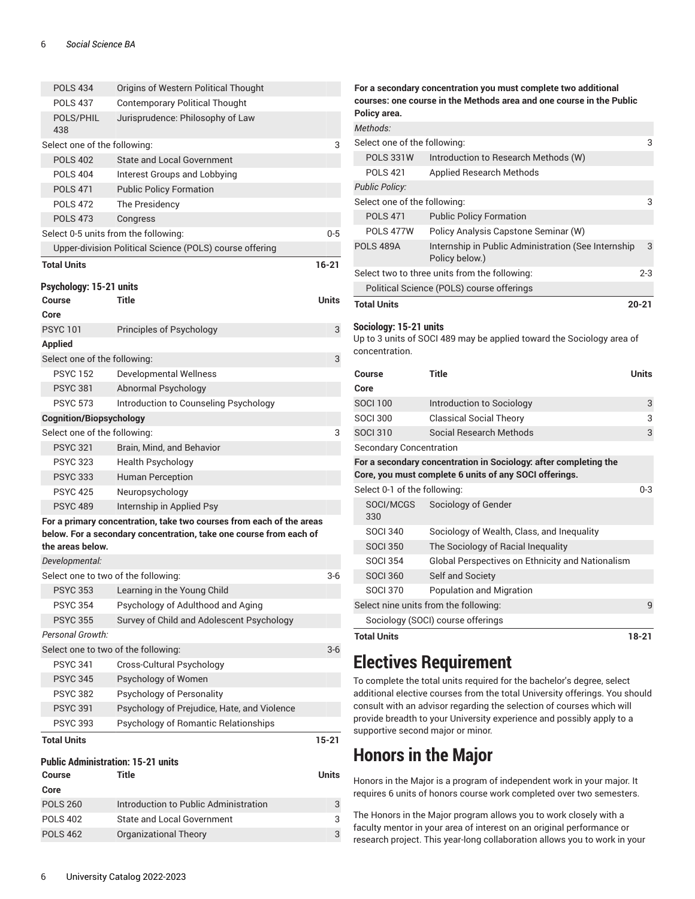| <b>POLS 434</b>                     | Origins of Western Political Thought                                 |         |
|-------------------------------------|----------------------------------------------------------------------|---------|
| <b>POLS 437</b>                     | <b>Contemporary Political Thought</b>                                |         |
| POLS/PHIL<br>438                    | Jurisprudence: Philosophy of Law                                     |         |
| Select one of the following:        |                                                                      | 3       |
| <b>POLS 402</b>                     | <b>State and Local Government</b>                                    |         |
| <b>POLS 404</b>                     | Interest Groups and Lobbying                                         |         |
| <b>POLS 471</b>                     | <b>Public Policy Formation</b>                                       |         |
| <b>POLS 472</b>                     | The Presidency                                                       |         |
| <b>POLS 473</b>                     | Congress                                                             |         |
|                                     | Select 0-5 units from the following:                                 | $0 - 5$ |
|                                     | Upper-division Political Science (POLS) course offering              |         |
| <b>Total Units</b>                  |                                                                      | 16-21   |
| Psychology: 15-21 units             |                                                                      |         |
| <b>Course</b>                       | <b>Title</b>                                                         | Units   |
| Core                                |                                                                      |         |
| <b>PSYC101</b>                      | Principles of Psychology                                             | 3       |
| <b>Applied</b>                      |                                                                      |         |
| Select one of the following:        |                                                                      | 3       |
| <b>PSYC 152</b>                     | <b>Developmental Wellness</b>                                        |         |
| <b>PSYC 381</b>                     | Abnormal Psychology                                                  |         |
| <b>PSYC 573</b>                     | Introduction to Counseling Psychology                                |         |
| <b>Cognition/Biopsychology</b>      |                                                                      |         |
| Select one of the following:        |                                                                      | 3       |
| <b>PSYC 321</b>                     | Brain, Mind, and Behavior                                            |         |
| <b>PSYC 323</b>                     | <b>Health Psychology</b>                                             |         |
| <b>PSYC 333</b>                     | <b>Human Perception</b>                                              |         |
| <b>PSYC 425</b>                     | Neuropsychology                                                      |         |
| <b>PSYC 489</b>                     | Internship in Applied Psy                                            |         |
|                                     | For a primary concentration, take two courses from each of the areas |         |
|                                     | below. For a secondary concentration, take one course from each of   |         |
| the areas below.                    |                                                                      |         |
| Developmental:                      |                                                                      |         |
| Select one to two of the following: |                                                                      | 3-6     |
| <b>PSYC 353</b>                     | Learning in the Young Child                                          |         |
| <b>PSYC 354</b>                     | Psychology of Adulthood and Aging                                    |         |
| <b>PSYC 355</b>                     | Survey of Child and Adolescent Psychology                            |         |
| Personal Growth:                    |                                                                      |         |
| Select one to two of the following: |                                                                      | 3-6     |
| <b>PSYC 341</b>                     | Cross-Cultural Psychology                                            |         |
| <b>PSYC 345</b>                     | Psychology of Women                                                  |         |
| <b>PSYC 382</b>                     | Psychology of Personality                                            |         |
| <b>PSYC 391</b><br><b>PSYC 393</b>  | Psychology of Prejudice, Hate, and Violence                          |         |
|                                     | Psychology of Romantic Relationships                                 |         |
| <b>Total Units</b>                  |                                                                      | 15-21   |

#### **Public Administration: 15-21 units**

| <b>Course</b>   | Title                                 | Units |
|-----------------|---------------------------------------|-------|
| Core            |                                       |       |
| <b>POLS 260</b> | Introduction to Public Administration | 3     |
| <b>POLS 402</b> | <b>State and Local Government</b>     | 3     |
| <b>POLS 462</b> | Organizational Theory                 | 3     |

### **courses: one course in the Methods area and one course in the Public Policy area.** *Methods:* Select one of the following: 3 POLS 331W Introduction to Research Methods (W) POLS 421 Applied Research Methods *Public Policy:* Select one of the following: 3 POLS 471 Public Policy Formation POLS 477W Policy Analysis Capstone Seminar (W) POLS 489A Internship in Public Administration (See Internship Policy below.) 3 Select two to three units from the following: 2-3 Political Science (POLS) course offerings **Total Units 20-21 Sociology: 15-21 units** Up to 3 units of SOCI 489 may be applied toward the Sociology area of concentration. **Course Title Units Core** SOCI 100 Introduction to Sociology 3 SOCI 300 Classical Social Theory 3 SOCI 310 Social Research Methods 3 Secondary Concentration **For a secondary concentration in Sociology: after completing the Core, you must complete 6 units of any SOCI offerings.** Select 0-1 of the following: 0-3 SOCI/MCGS 330 Sociology of Gender SOCI 340 Sociology of Wealth, Class, and Inequality SOCI 350 The Sociology of Racial Inequality SOCI 354 Global Perspectives on Ethnicity and Nationalism SOCI 360 Self and Society SOCI 370 Population and Migration Select nine units from the following: 9 Sociology (SOCI) course offerings

**For a secondary concentration you must complete two additional**

**Total Units 18-21**

### **Electives Requirement**

To complete the total units required for the bachelor's degree, select additional elective courses from the total University offerings. You should consult with an advisor regarding the selection of courses which will provide breadth to your University experience and possibly apply to a supportive second major or minor.

## **Honors in the Major**

Honors in the Major is a program of independent work in your major. It requires 6 units of honors course work completed over two semesters.

The Honors in the Major program allows you to work closely with a faculty mentor in your area of interest on an original performance or research project. This year-long collaboration allows you to work in your